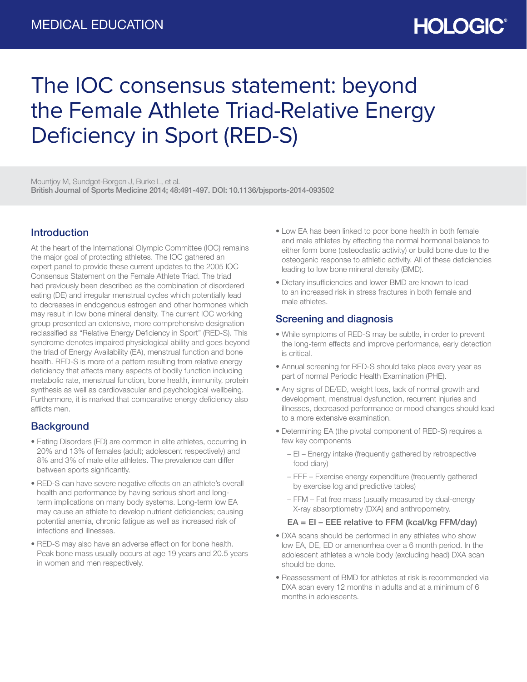# **HOLOGIC®**

# The IOC consensus statement: beyond the Female Athlete Triad-Relative Energy Deficiency in Sport (RED-S)

Mountjoy M, Sundgot-Borgen J, Burke L, et al. British Journal of Sports Medicine 2014; 48:491-497. DOI: 10.1136/bjsports-2014-093502

## Introduction

At the heart of the International Olympic Committee (IOC) remains the major goal of protecting athletes. The IOC gathered an expert panel to provide these current updates to the 2005 IOC Consensus Statement on the Female Athlete Triad. The triad had previously been described as the combination of disordered eating (DE) and irregular menstrual cycles which potentially lead to decreases in endogenous estrogen and other hormones which may result in low bone mineral density. The current IOC working group presented an extensive, more comprehensive designation reclassified as "Relative Energy Deficiency in Sport" (RED-S). This syndrome denotes impaired physiological ability and goes beyond the triad of Energy Availability (EA), menstrual function and bone health. RED-S is more of a pattern resulting from relative energy deficiency that affects many aspects of bodily function including metabolic rate, menstrual function, bone health, immunity, protein synthesis as well as cardiovascular and psychological wellbeing. Furthermore, it is marked that comparative energy deficiency also afflicts men.

### **Background**

- Eating Disorders (ED) are common in elite athletes, occurring in 20% and 13% of females (adult; adolescent respectively) and 8% and 3% of male elite athletes. The prevalence can differ between sports significantly.
- RED-S can have severe negative effects on an athlete's overall health and performance by having serious short and longterm implications on many body systems. Long-term low EA may cause an athlete to develop nutrient deficiencies; causing potential anemia, chronic fatigue as well as increased risk of infections and illnesses.
- RED-S may also have an adverse effect on for bone health. Peak bone mass usually occurs at age 19 years and 20.5 years in women and men respectively.
- Low EA has been linked to poor bone health in both female and male athletes by effecting the normal hormonal balance to either form bone (osteoclastic activity) or build bone due to the osteogenic response to athletic activity. All of these deficiencies leading to low bone mineral density (BMD).
- Dietary insufficiencies and lower BMD are known to lead to an increased risk in stress fractures in both female and male athletes.

### Screening and diagnosis

- While symptoms of RED-S may be subtle, in order to prevent the long-term effects and improve performance, early detection is critical.
- Annual screening for RED-S should take place every year as part of normal Periodic Health Examination (PHE).
- Any signs of DE/ED, weight loss, lack of normal growth and development, menstrual dysfunction, recurrent injuries and illnesses, decreased performance or mood changes should lead to a more extensive examination.
- Determining EA (the pivotal component of RED-S) requires a few key components
	- EI Energy intake (frequently gathered by retrospective food diary)
	- EEE Exercise energy expenditure (frequently gathered by exercise log and predictive tables)
	- FFM Fat free mass (usually measured by dual-energy X-ray absorptiometry (DXA) and anthropometry.

#### EA = EI – EEE relative to FFM (kcal/kg FFM/day)

- DXA scans should be performed in any athletes who show low EA, DE, ED or amenorrhea over a 6 month period. In the adolescent athletes a whole body (excluding head) DXA scan should be done.
- Reassessment of BMD for athletes at risk is recommended via DXA scan every 12 months in adults and at a minimum of 6 months in adolescents.